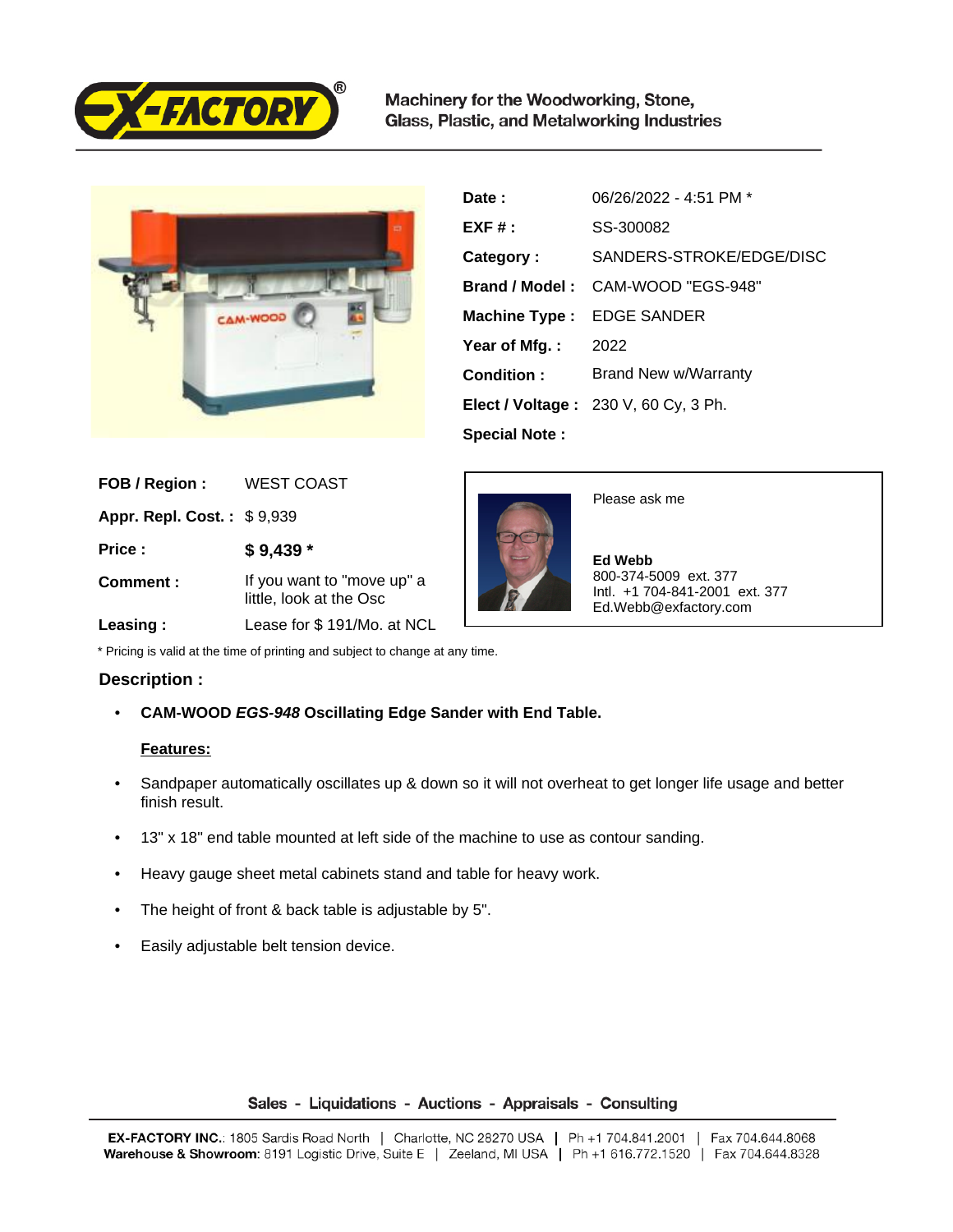

Machinery for the Woodworking, Stone, Glass, Plastic, and Metalworking Industries



| Date:                | 06/26/2022 - 4:51 PM *                      |
|----------------------|---------------------------------------------|
| $EXF#$ :             | SS-300082                                   |
| Category:            | SANDERS-STROKE/EDGE/DISC                    |
|                      | <b>Brand / Model:</b> CAM-WOOD "EGS-948"    |
| <b>Machine Type:</b> | <b>EDGE SANDER</b>                          |
| Year of Mfg.:        | 2022                                        |
| Condition:           | Brand New w/Warranty                        |
|                      | <b>Elect / Voltage: 230 V, 60 Cy, 3 Ph.</b> |
| <b>Special Note:</b> |                                             |

| FOB / Region:                     | <b>WEST COAST</b>                                               |
|-----------------------------------|-----------------------------------------------------------------|
| <b>Appr. Repl. Cost.: \$9,939</b> |                                                                 |
| Price:                            | $$9,439$ *                                                      |
| Comment:                          | If you want to "move up" a<br>little, look at the Osc           |
| .                                 | $L_{\alpha\alpha\alpha\alpha}$ for $\alpha$ $4\Omega$ $4\Delta$ |



Please ask me

 **Ed Webb** 800-374-5009 ext. 377 Intl. +1 704-841-2001 ext. 377 Ed.Webb@exfactory.com

 **Leasing :** Lease for \$ 191/Mo. at NCL

\* Pricing is valid at the time of printing and subject to change at any time.

## **Description :**

• **CAM-WOOD EGS-948 Oscillating Edge Sander with End Table.**

## **Features:**

- Sandpaper automatically oscillates up & down so it will not overheat to get longer life usage and better finish result.
- 13" x 18" end table mounted at left side of the machine to use as contour sanding.
- Heavy gauge sheet metal cabinets stand and table for heavy work.
- The height of front & back table is adjustable by 5".
- Easily adjustable belt tension device.

## Sales - Liquidations - Auctions - Appraisals - Consulting